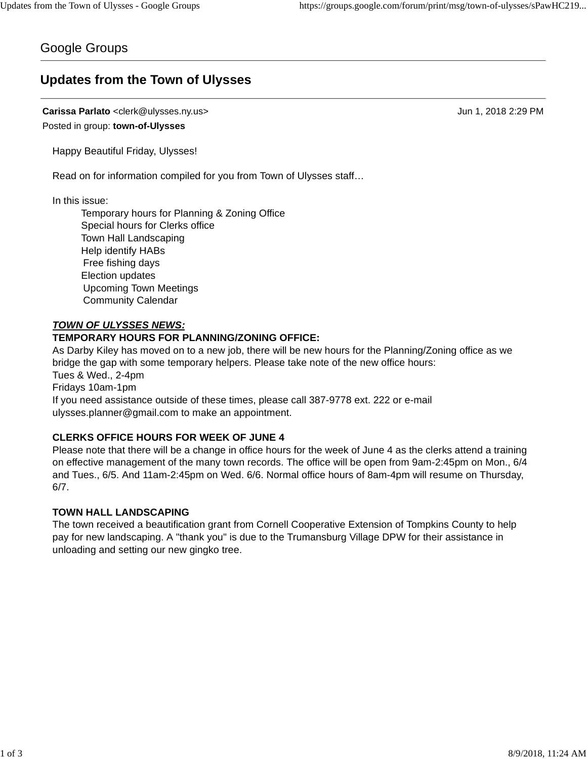## Google Groups

# **Updates from the Town of Ulysses**

**Carissa Parlato** <clerk@ulysses.ny.us> Jun 1, 2018 2:29 PM Posted in group: **town-of-Ulysses**

Happy Beautiful Friday, Ulysses!

Read on for information compiled for you from Town of Ulysses staff…

In this issue:

Temporary hours for Planning & Zoning Office Special hours for Clerks office Town Hall Landscaping Help identify HABs Free fishing days Election updates Upcoming Town Meetings Community Calendar

## *TOWN OF ULYSSES NEWS:*

## **TEMPORARY HOURS FOR PLANNING/ZONING OFFICE:**

As Darby Kiley has moved on to a new job, there will be new hours for the Planning/Zoning office as we bridge the gap with some temporary helpers. Please take note of the new office hours: Tues & Wed., 2-4pm Fridays 10am-1pm

If you need assistance outside of these times, please call 387-9778 ext. 222 or e-mail ulysses.planner@gmail.com to make an appointment.

## **CLERKS OFFICE HOURS FOR WEEK OF JUNE 4**

Please note that there will be a change in office hours for the week of June 4 as the clerks attend a training on effective management of the many town records. The office will be open from 9am-2:45pm on Mon., 6/4 and Tues., 6/5. And 11am-2:45pm on Wed. 6/6. Normal office hours of 8am-4pm will resume on Thursday, 6/7.

## **TOWN HALL LANDSCAPING**

The town received a beautification grant from Cornell Cooperative Extension of Tompkins County to help pay for new landscaping. A "thank you" is due to the Trumansburg Village DPW for their assistance in unloading and setting our new gingko tree.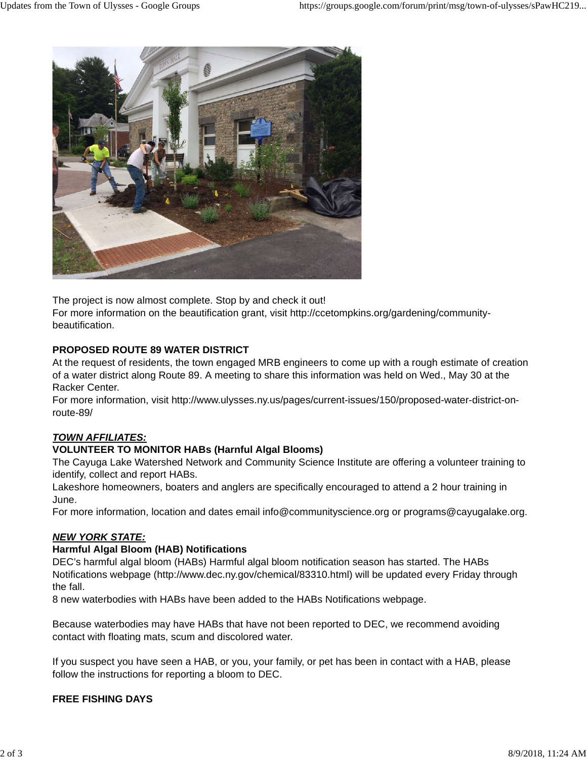

The project is now almost complete. Stop by and check it out!

For more information on the beautification grant, visit http://ccetompkins.org/gardening/communitybeautification.

#### **PROPOSED ROUTE 89 WATER DISTRICT**

At the request of residents, the town engaged MRB engineers to come up with a rough estimate of creation of a water district along Route 89. A meeting to share this information was held on Wed., May 30 at the Racker Center.

For more information, visit http://www.ulysses.ny.us/pages/current-issues/150/proposed-water-district-onroute-89/

## *TOWN AFFILIATES:*

#### **VOLUNTEER TO MONITOR HABs (Harnful Algal Blooms)**

The Cayuga Lake Watershed Network and Community Science Institute are offering a volunteer training to identify, collect and report HABs.

Lakeshore homeowners, boaters and anglers are specifically encouraged to attend a 2 hour training in June.

For more information, location and dates email info@communityscience.org or programs@cayugalake.org.

#### *NEW YORK STATE:*

#### **Harmful Algal Bloom (HAB) Notifications**

DEC's harmful algal bloom (HABs) Harmful algal bloom notification season has started. The HABs Notifications webpage (http://www.dec.ny.gov/chemical/83310.html) will be updated every Friday through the fall.

8 new waterbodies with HABs have been added to the HABs Notifications webpage.

Because waterbodies may have HABs that have not been reported to DEC, we recommend avoiding contact with floating mats, scum and discolored water.

If you suspect you have seen a HAB, or you, your family, or pet has been in contact with a HAB, please follow the instructions for reporting a bloom to DEC.

## **FREE FISHING DAYS**